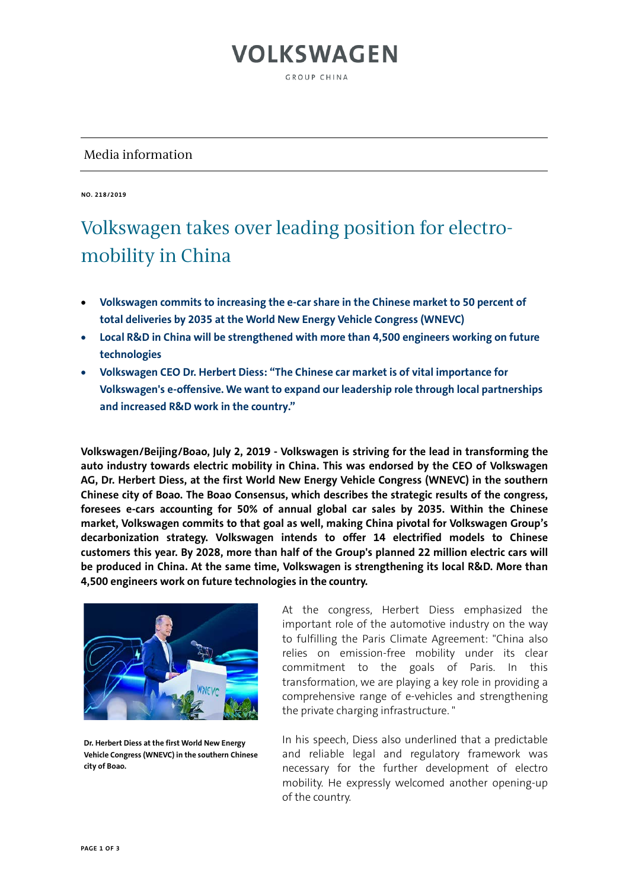# **VOLKSWAGEN**

GROUP CHINA

#### Media information

**NO. 218/2019**

#### Volkswagen takes over leading position for electromobility in China

- **Volkswagen commits to increasing the e-car share in the Chinese market to 50 percent of total deliveries by 2035 at the World New Energy Vehicle Congress (WNEVC)**
- **Local R&D in China will be strengthened with more than 4,500 engineers working on future technologies**
- **Volkswagen CEO Dr. Herbert Diess: "The Chinese car market is of vital importance for Volkswagen's e-offensive. We want to expand our leadership role through local partnerships and increased R&D work in the country."**

**Volkswagen/Beijing/Boao, July 2, 2019 - Volkswagen is striving for the lead in transforming the auto industry towards electric mobility in China. This was endorsed by the CEO of Volkswagen AG, Dr. Herbert Diess, at the first World New Energy Vehicle Congress (WNEVC) in the southern Chinese city of Boao. The Boao Consensus, which describes the strategic results of the congress, foresees e-cars accounting for 50% of annual global car sales by 2035. Within the Chinese market, Volkswagen commits to that goal as well, making China pivotal for Volkswagen Group's decarbonization strategy. Volkswagen intends to offer 14 electrified models to Chinese customers this year. By 2028, more than half of the Group's planned 22 million electric cars will be produced in China. At the same time, Volkswagen is strengthening its local R&D. More than 4,500 engineers work on future technologies in the country.**



**Dr. Herbert Diess at the first World New Energy Vehicle Congress (WNEVC) in the southern Chinese city of Boao.**

At the congress, Herbert Diess emphasized the important role of the automotive industry on the way to fulfilling the Paris Climate Agreement: "China also relies on emission-free mobility under its clear commitment to the goals of Paris. In this transformation, we are playing a key role in providing a comprehensive range of e-vehicles and strengthening the private charging infrastructure. "

In his speech, Diess also underlined that a predictable and reliable legal and regulatory framework was necessary for the further development of electro mobility. He expressly welcomed another opening-up of the country.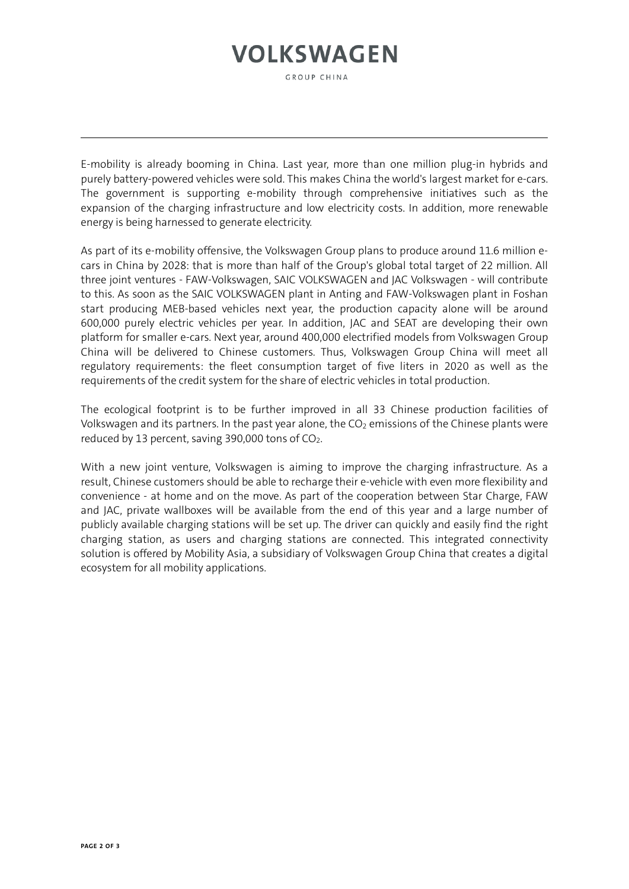## **VOLKSWAGEN**

GROUP CHINA

E-mobility is already booming in China. Last year, more than one million plug-in hybrids and purely battery-powered vehicles were sold. This makes China the world's largest market for e-cars. The government is supporting e-mobility through comprehensive initiatives such as the expansion of the charging infrastructure and low electricity costs. In addition, more renewable energy is being harnessed to generate electricity.

As part of its e-mobility offensive, the Volkswagen Group plans to produce around 11.6 million ecars in China by 2028: that is more than half of the Group's global total target of 22 million. All three joint ventures - FAW-Volkswagen, SAIC VOLKSWAGEN and JAC Volkswagen - will contribute to this. As soon as the SAIC VOLKSWAGEN plant in Anting and FAW-Volkswagen plant in Foshan start producing MEB-based vehicles next year, the production capacity alone will be around 600,000 purely electric vehicles per year. In addition, JAC and SEAT are developing their own platform for smaller e-cars. Next year, around 400,000 electrified models from Volkswagen Group China will be delivered to Chinese customers. Thus, Volkswagen Group China will meet all regulatory requirements: the fleet consumption target of five liters in 2020 as well as the requirements of the credit system for the share of electric vehicles in total production.

The ecological footprint is to be further improved in all 33 Chinese production facilities of Volkswagen and its partners. In the past year alone, the  $CO<sub>2</sub>$  emissions of the Chinese plants were reduced by 13 percent, saving 390,000 tons of  $CO<sub>2</sub>$ .

With a new joint venture, Volkswagen is aiming to improve the charging infrastructure. As a result, Chinese customers should be able to recharge their e-vehicle with even more flexibility and convenience - at home and on the move. As part of the cooperation between Star Charge, FAW and JAC, private wallboxes will be available from the end of this year and a large number of publicly available charging stations will be set up. The driver can quickly and easily find the right charging station, as users and charging stations are connected. This integrated connectivity solution is offered by Mobility Asia, a subsidiary of Volkswagen Group China that creates a digital ecosystem for all mobility applications.